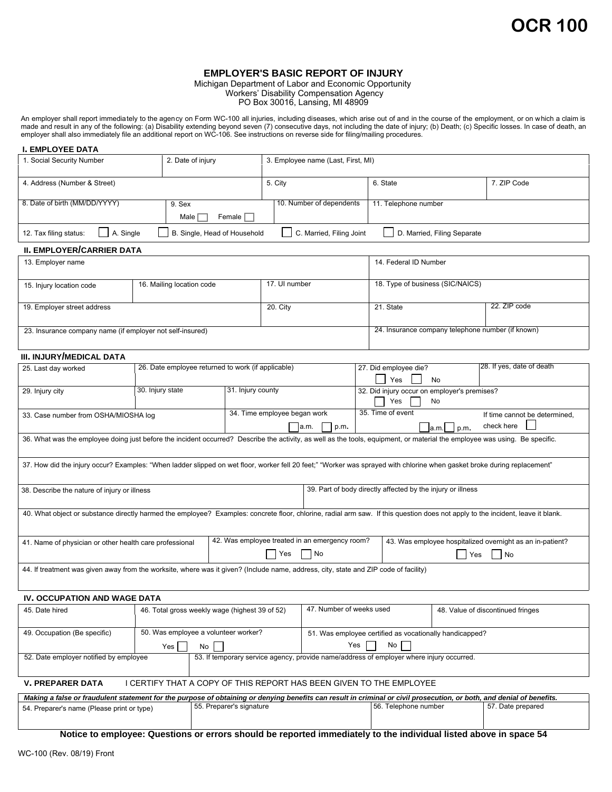## **EMPLOYER'S BASIC REPORT OF INJURY**

Michigan Department of Labor and Economic Opportunity Workers' Disability Compensation Agency PO Box 30016, Lansing, MI 48909

An employer shall report immediately to the agency on Form WC-100 all injuries, including diseases, which arise out of and in the course of the employment, or on which a claim is made and result in any of the following: (a) Disability extending beyond seven (7) consecutive days, not including the date of injury; (b) Death; (c) Specific losses. In case of death, an employer shall also immediately file an additional report on WC-106. See instructions on reverse side for filing/mailing procedures.

## 1. Social Security Number 2. Date of injury 3. Employee name (Last, First, MI) **I. EMPLOYEE DATA** 4. Address (Number & Street) 6. State 1. Address (Number & Street) 6. State 1. ZIP Code 8. Date of birth (MM/DD/YYYY) 9. Sex 10. Number of dependents 11. Telephone number 12. Tax filing status: A. Single B. Single, Head of Household C. Married, Filing Joint D. Married, Filing Separate **II. EMPLOYER/CARRIER DATA** 13. Employer name 14. Federal ID Number 15. Injury location code 16. Mailing location code 17. UI number 18. Type of business (SIC/NAICS) 19. Employer street address **20. City** 21. State 21. State 22. ZIP code 23. Insurance company name (if employer not self-insured) . 24. Insurance company telephone number (if known) **III. INJURY/MEDICAL DATA** 25. Last day worked 26. Date employee returned to work (if applicable) 27. Did employee die? 28. If yes, date of death Yes **No** 29. Injury city 30. Injury state 31. Injury county 35. Time of event 33. Case number from OSHA/MIOSHA log 34. Time employee began work  $\Box$ a.m.  $\Box$  p.m.  $\Box$  p.m. If time cannot be determined, check here 36. What was the employee doing just before the incident occurred? Describe the activity, as well as the tools, equipment, or material the employee was using. Be specific. 37. How did the injury occur? Examples: "When ladder slipped on wet floor, worker fell 20 feet;" "Worker was sprayed with chlorine when gasket broke during replacement" 38. Describe the nature of injury or illness 39. Part of body directly affected by the injury or illness 40. What object or substance directly harmed the employee? Examples: concrete floor, chlorine, radial arm saw. If this question does not apply to the incident, leave it blank. 41. Name of physician or other health care professional 42. Was employee treated in an emergency room?  $\Box$  Yes  $\Box$  No 43. Was employee hospitalized overnight as an in-patient?  $\Box$  Yes  $\Box$  No 44. If treatment was given away from the worksite, where was it given? (Include name, address, city, state and ZIP code of facility) **IV. OCCUPATION AND WAGE DATA** 45. Date hired 46. Total gross weekly wage (highest 39 of 52) 47. Number of weeks used 48. Value of discontinued fringes 49. Occupation (Be specific) 50. Was employee a volunteer worker? 51. Was employee certified as vocationally handicapped? Yes No Yes No 52. Date employer notified by employee 53. If temporary service agency, provide name/address of employer where injury occurred. **V. PREPARER DATA** I CERTIFY THAT A COPY OF THIS REPORT HAS BEEN GIVEN TO THE EMPLOYEE Male  $\Box$  Female  $\Box$ 9. Sex 32. Did injury occur on employer's premises?  $\Box$  Yes  $\Box$  No 30. Injury state

| Making a false or fraudulent statement for the purpose of obtaining or denving benefits can result in criminal or civil prosecution, or both, and denial of benefits, |                          |                      |                   |
|-----------------------------------------------------------------------------------------------------------------------------------------------------------------------|--------------------------|----------------------|-------------------|
| 54. Preparer's name (Please print or type)                                                                                                                            | 55. Preparer's signature | 56. Telephone number | 57. Date prepared |
|                                                                                                                                                                       |                          |                      |                   |
|                                                                                                                                                                       |                          |                      |                   |

**Notice to employee: Questions or errors should be reported immediately to the individual listed above in space 54**